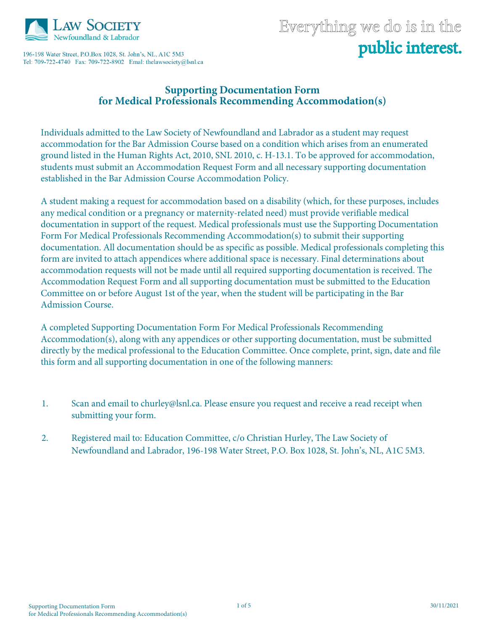

196-198 Water Street, P.O.Box 1028, St. John's, NL, A1C 5M3 Tel: 709-722-4740 Fax: 709-722-8902 Emal: thelawsociety@lsnl.ca

# Everything we do is in the public interest.

#### **Supporting Documentation Form for Medical Professionals Recommending Accommodation(s)**

Individuals admitted to the Law Society of Newfoundland and Labrador as a student may request accommodation for the Bar Admission Course based on a condition which arises from an enumerated ground listed in the Human Rights Act, 2010, SNL 2010, c. H-13.1. To be approved for accommodation, students must submit an Accommodation Request Form and all necessary supporting documentation established in the Bar Admission Course Accommodation Policy.

A student making a request for accommodation based on a disability (which, for these purposes, includes any medical condition or a pregnancy or maternity-related need) must provide verifiable medical documentation in support of the request. Medical professionals must use the Supporting Documentation Form For Medical Professionals Recommending Accommodation(s) to submit their supporting documentation. All documentation should be as specific as possible. Medical professionals completing this form are invited to attach appendices where additional space is necessary. Final determinations about accommodation requests will not be made until all required supporting documentation is received. The Accommodation Request Form and all supporting documentation must be submitted to the Education Committee on or before August 1st of the year, when the student will be participating in the Bar Admission Course.

A completed Supporting Documentation Form For Medical Professionals Recommending Accommodation(s), along with any appendices or other supporting documentation, must be submitted directly by the medical professional to the Education Committee. Once complete, print, sign, date and file this form and all supporting documentation in one of the following manners:

- 1. Scan and email to churley@lsnl.ca. Please ensure you request and receive a read receipt when submitting your form.
- 2. Registered mail to: Education Committee, c/o Christian Hurley, The Law Society of Newfoundland and Labrador, 196-198 Water Street, P.O. Box 1028, St. John's, NL, A1C 5M3.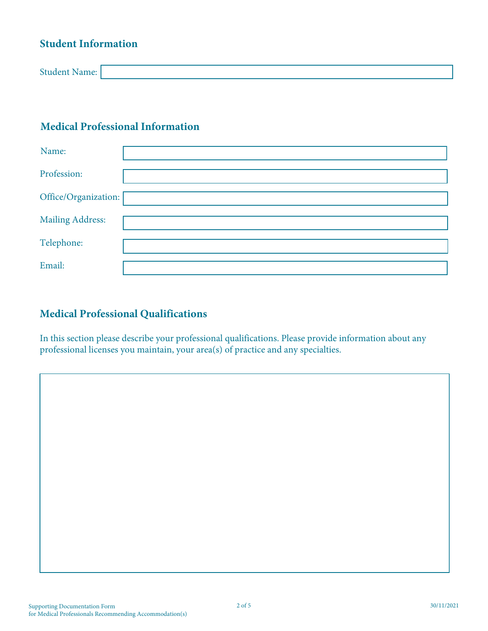## **Student Information**

| $\mathbf{a}$<br>. |  |
|-------------------|--|

## **Medical Professional Information**

| Name:                   |  |
|-------------------------|--|
| Profession:             |  |
| Office/Organization:    |  |
| <b>Mailing Address:</b> |  |
| Telephone:              |  |
| Email:                  |  |

## **Medical Professional Qualifications**

In this section please describe your professional qualifications. Please provide information about any professional licenses you maintain, your area(s) of practice and any specialties.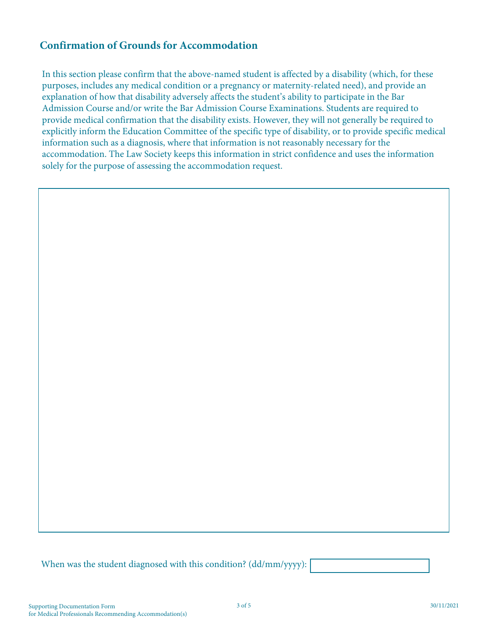#### **Confirmation of Grounds for Accommodation**

In this section please confirm that the above-named student is affected by a disability (which, for these purposes, includes any medical condition or a pregnancy or maternity-related need), and provide an explanation of how that disability adversely affects the student's ability to participate in the Bar Admission Course and/or write the Bar Admission Course Examinations. Students are required to provide medical confirmation that the disability exists. However, they will not generally be required to explicitly inform the Education Committee of the specific type of disability, or to provide specific medical information such as a diagnosis, where that information is not reasonably necessary for the accommodation. The Law Society keeps this information in strict confidence and uses the information solely for the purpose of assessing the accommodation request.

When was the student diagnosed with this condition? (dd/mm/yyyy):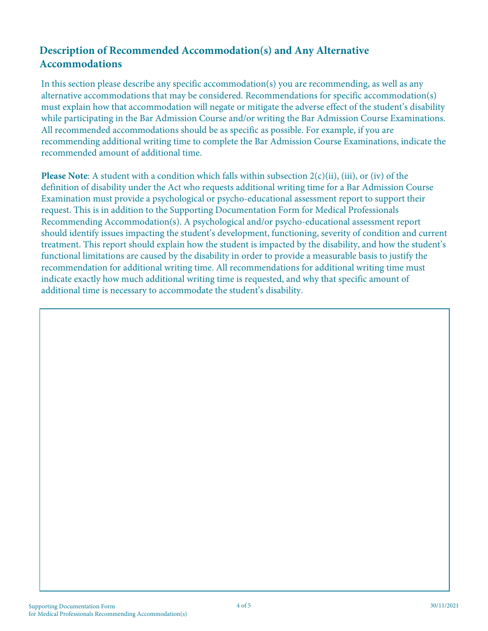### **Description of Recommended Accommodation(s) and Any Alternative Accommodations**

In this section please describe any specific accommodation(s) you are recommending, as well as any alternative accommodations that may be considered. Recommendations for specific accommodation(s) must explain how that accommodation will negate or mitigate the adverse effect of the student's disability while participating in the Bar Admission Course and/or writing the Bar Admission Course Examinations. All recommended accommodations should be as specific as possible. For example, if you are recommending additional writing time to complete the Bar Admission Course Examinations, indicate the recommended amount of additional time.

**Please Note**: A student with a condition which falls within subsection 2(c)(ii), (iii), or (iv) of the definition of disability under the Act who requests additional writing time for a Bar Admission Course Examination must provide a psychological or psycho-educational assessment report to support their request. This is in addition to the Supporting Documentation Form for Medical Professionals Recommending Accommodation(s). A psychological and/or psycho-educational assessment report should identify issues impacting the student's development, functioning, severity of condition and current treatment. This report should explain how the student is impacted by the disability, and how the student's functional limitations are caused by the disability in order to provide a measurable basis to justify the recommendation for additional writing time. All recommendations for additional writing time must indicate exactly how much additional writing time is requested, and why that specific amount of additional time is necessary to accommodate the student's disability.